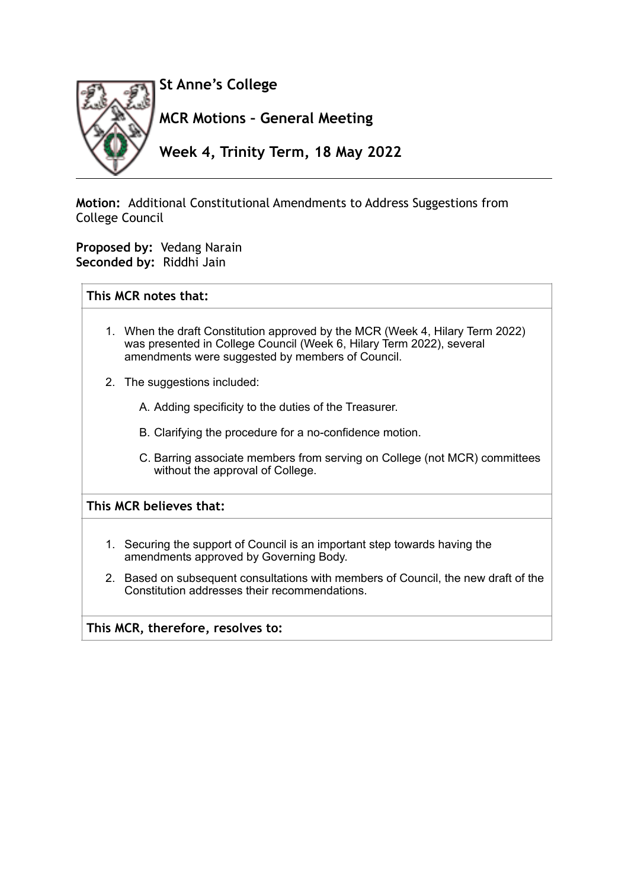

**Motion:** Additional Constitutional Amendments to Address Suggestions from College Council

**Proposed by:** Vedang Narain **Seconded by:** Riddhi Jain

## **This MCR notes that:**

- 1. When the draft Constitution approved by the MCR (Week 4, Hilary Term 2022) was presented in College Council (Week 6, Hilary Term 2022), several amendments were suggested by members of Council.
- 2. The suggestions included:
	- A. Adding specificity to the duties of the Treasurer.
	- B. Clarifying the procedure for a no-confidence motion.
	- C. Barring associate members from serving on College (not MCR) committees without the approval of College.

## **This MCR believes that:**

- 1. Securing the support of Council is an important step towards having the amendments approved by Governing Body.
- 2. Based on subsequent consultations with members of Council, the new draft of the Constitution addresses their recommendations.

**This MCR, therefore, resolves to:**